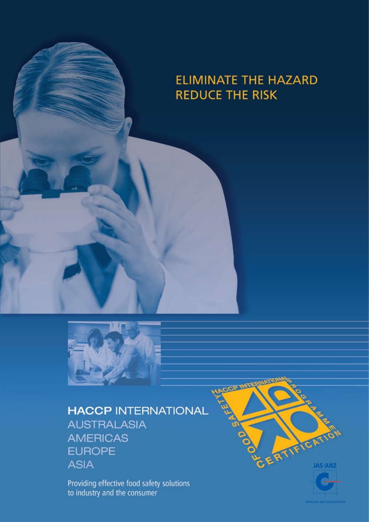# **ELIMINATE THE HAZARD REDUCE THE RISK**



## **HACCP INTERNATIONAL AUSTRALASIA AMERICAS EUROPE ASIA**

Providing effective food safety solutions to industry and the consumer

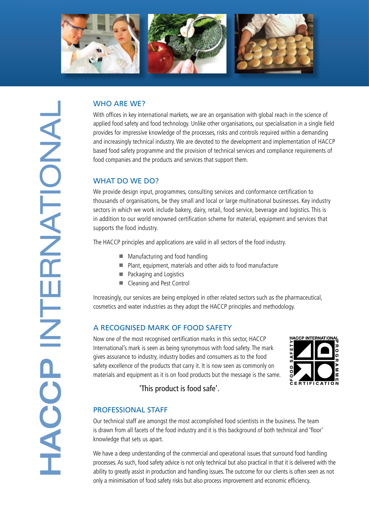

## WHO ARF WF<sub>2</sub>

With offices in key international markets, we are an organisation with global reach in the science of applied food safety and food technology. Unlike other organisations, our specialisation in a single field provides for impressive knowledge of the processes, risks and controls required within a demanding and increasingly technical industry. We are devoted to the development and implementation of HACCP based food safety programme and the provision of technical services and compliance requirements of food companies and the products and services that support them.

## WHAT DO WE DO?

We provide design input, programmes, consulting services and conformance certification to thousands of organisations, be they small and local or large multinational businesses. Key industry sectors in which we work include bakery, dairy, retail, food service, beverage and logistics. This is in addition to our world renowned certification scheme for material, equipment and services that supports the food industry.

The HACCP principles and applications are valid in all sectors of the food industry.

- $\blacksquare$  Manufacturing and food handling
- Plant, equipment, materials and other aids to food manufacture
- **n** Packaging and Logistics
- Cleaning and Pest Control

Increasingly, our services are being employed in other related sectors such as the pharmaceutical, cosmetics and water industries as they adopt the HACCP principles and methodology.

## A RECOGNISED MARK OF FOOD SAFETY

Now one of the most recognised certification marks in this sector, HACCP International's mark is seen as being synonymous with food safety. The mark gives assurance to industry, industry bodies and consumers as to the food safety excellence of the products that carry it. It is now seen as commonly on materials and equipment as it is on food products but the message is the same.



'This product is food safe'.

## PROFESSIONAL STAFF

Our technical staff are amongst the most accomplished food scientists in the business. The team is drawn from all facets of the food industry and it is this background of both technical and 'floor' knowledge that sets us apart.

We have a deep understanding of the commercial and operational issues that surround food handling processes. As such, food safety advice is not only technical but also practical in that it is delivered with the ability to greatly assist in production and handling issues. The outcome for our clients is often seen as not only a minimisation of food safety risks but also process improvement and economic efficiency.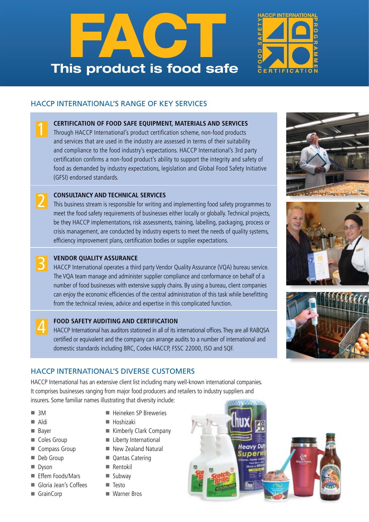



## HACCP INTERNATIONAL'S range of Key SERVICES

**CERTIFICATION OF FOOD SAFE EQUIPMENT, MATERIALS AND SERVICES** 

Through HACCP International's product certification scheme, non-food products and services that are used in the industry are assessed in terms of their suitability and compliance to the food industry's expectations. HACCP International's 3rd party certification confirms a non-food product's ability to support the integrity and safety of food as demanded by industry expectations, legislation and Global Food Safety Initiative (GFSI) endorsed standards.

#### **CONSULTANCY AND TECHNICAL SERVICES**

This business stream is responsible for writing and implementing food safety programmes to meet the food safety requirements of businesses either locally or globally. Technical projects, be they HACCP implementations, risk assessments, training, labelling, packaging, process or crisis management, are conducted by industry experts to meet the needs of quality systems, efficiency improvement plans, certification bodies or supplier expectations.



2

1

#### **VENDOR QUALITY ASSURANCE**

HACCP International operates a third party Vendor Quality Assurance (VQA) bureau service. The VQA team manage and administer supplier compliance and conformance on behalf of a number of food businesses with extensive supply chains. By using a bureau, client companies can enjoy the economic efficiencies of the central administration of this task while benefitting from the technical review, advice and expertise in this complicated function.



#### **FOOD SAFETY AUDITING AND CERTIFICATION**

HACCP International has auditors stationed in all of its international offices. They are all RABQSA certified or equivalent and the company can arrange audits to a number of international and domestic standards including BRC, Codex HACCP, FSSC 22000, ISO and SQF.







## HACCP INTERNATIONAL'S DIVERSE CUSTOMERS

HACCP International has an extensive client list including many well-known international companies. It comprises businesses ranging from major food producers and retailers to industry suppliers and insurers. Some familiar names illustrating that diversity include:

- $\blacksquare$  3M
- n Aldi
- **n** Bayer
- Coles Group
- Compass Group
- Deb Group
- **n** Dyson
- **Effem Foods/Mars**
- Gloria Jean's Coffees
- GrainCorp
- **N** Heineken SP Breweries
- $\blacksquare$  Hoshizaki
- $\blacksquare$  Kimberly Clark Company
- $\blacksquare$  Liberty International
- $\blacksquare$  New Zealand Natural
- Qantas Catering
- $R$ entokil
- $\blacksquare$  Subway
- n Testo
- Warner Bros